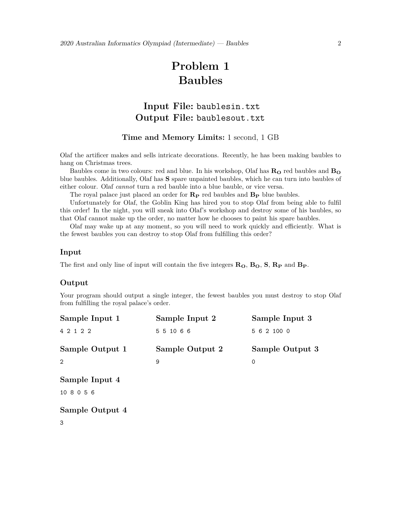# **Problem 1 Baubles**

# **Input File:** baublesin.txt **Output File:** baublesout.txt

**Time and Memory Limits:** 1 second, 1 GB

Olaf the artificer makes and sells intricate decorations. Recently, he has been making baubles to hang on Christmas trees.

Baubles come in two colours: red and blue. In his workshop, Olaf has  $\mathbf{R}_{\mathbf{O}}$  red baubles and  $\mathbf{B}_{\mathbf{O}}$ blue baubles. Additionally, Olaf has **S** spare unpainted baubles, which he can turn into baubles of either colour. Olaf *cannot* turn a red bauble into a blue bauble, or vice versa.

The royal palace just placed an order for **R<sup>P</sup>** red baubles and **B<sup>P</sup>** blue baubles.

Unfortunately for Olaf, the Goblin King has hired you to stop Olaf from being able to fulfil this order! In the night, you will sneak into Olaf's workshop and destroy some of his baubles, so that Olaf cannot make up the order, no matter how he chooses to paint his spare baubles.

Olaf may wake up at any moment, so you will need to work quickly and efficiently. What is the fewest baubles you can destroy to stop Olaf from fulfilling this order?

#### **Input**

The first and only line of input will contain the five integers **RO**, **BO**, **S**, **R<sup>P</sup>** and **BP**.

# **Output**

Your program should output a single integer, the fewest baubles you must destroy to stop Olaf from fulfilling the royal palace's order.

| Sample Input 1  | Sample Input 2  | Sample Input 3  |
|-----------------|-----------------|-----------------|
| 4 2 1 2 2       | 5 5 10 6 6      | 5 6 2 100 0     |
| Sample Output 1 | Sample Output 2 | Sample Output 3 |
| 2               |                 |                 |

**Sample Input 4** 10 8 0 5 6

**Sample Output 4** 3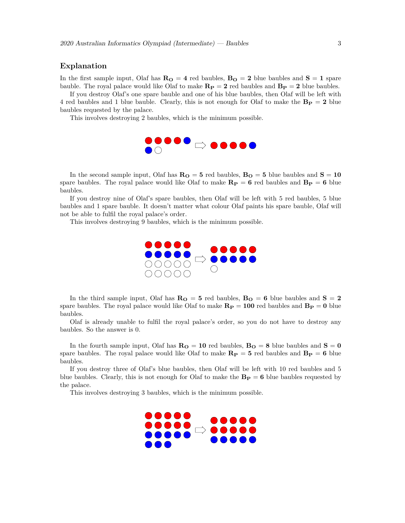## **Explanation**

In the first sample input, Olaf has  $\mathbf{R}_{\mathbf{O}} = 4$  red baubles,  $\mathbf{B}_{\mathbf{O}} = 2$  blue baubles and  $\mathbf{S} = 1$  spare bauble. The royal palace would like Olaf to make  $\mathbf{R}_P = 2$  red baubles and  $\mathbf{B}_P = 2$  blue baubles.

If you destroy Olaf's one spare bauble and one of his blue baubles, then Olaf will be left with 4 red baubles and 1 blue bauble. Clearly, this is not enough for Olaf to make the  $\mathbf{B_P} = 2$  blue baubles requested by the palace.

This involves destroying 2 baubles, which is the minimum possible.



In the second sample input, Olaf has  $R_0 = 5$  red baubles,  $B_0 = 5$  blue baubles and  $S = 10$ spare baubles. The royal palace would like Olaf to make  $\mathbf{R}_P = \mathbf{6}$  red baubles and  $\mathbf{B}_P = \mathbf{6}$  blue baubles.

If you destroy nine of Olaf's spare baubles, then Olaf will be left with 5 red baubles, 5 blue baubles and 1 spare bauble. It doesn't matter what colour Olaf paints his spare bauble, Olaf will not be able to fulfil the royal palace's order.

This involves destroying 9 baubles, which is the minimum possible.



In the third sample input, Olaf has  $R_0 = 5$  red baubles,  $B_0 = 6$  blue baubles and  $S = 2$ spare baubles. The royal palace would like Olaf to make  $\mathbf{R}_P = 100$  red baubles and  $\mathbf{B}_P = 0$  blue baubles.

Olaf is already unable to fulfil the royal palace's order, so you do not have to destroy any baubles. So the answer is 0.

In the fourth sample input, Olaf has  $\mathbf{R}_{\mathbf{O}} = 10$  red baubles,  $\mathbf{B}_{\mathbf{O}} = 8$  blue baubles and  $\mathbf{S} = 0$ spare baubles. The royal palace would like Olaf to make  $\mathbf{R}_P = 5$  red baubles and  $\mathbf{B}_P = 6$  blue baubles.

If you destroy three of Olaf's blue baubles, then Olaf will be left with 10 red baubles and 5 blue baubles. Clearly, this is not enough for Olaf to make the  $\mathbf{B}_P = \mathbf{6}$  blue baubles requested by the palace.

This involves destroying 3 baubles, which is the minimum possible.